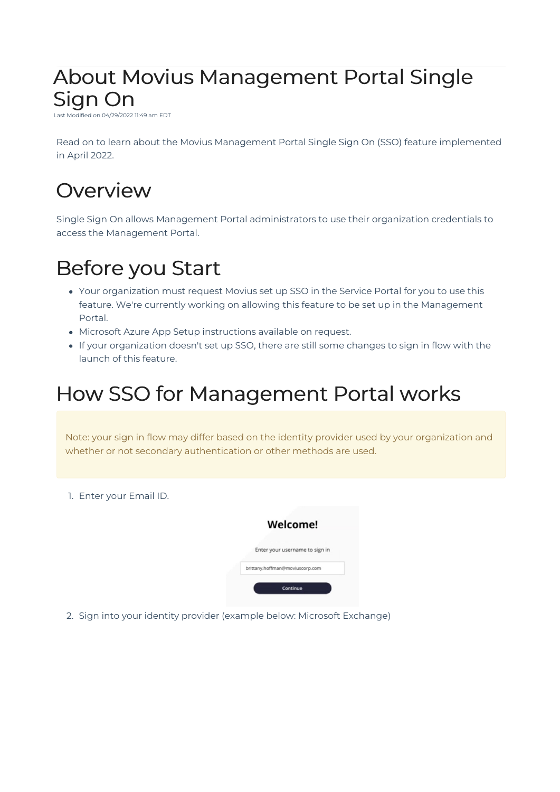# About Movius Management Portal Single Sign On

Last Modified on 04/29/2022 11:49 am EDT

Read on to learn about the Movius Management Portal Single Sign On (SSO) feature implemented in April 2022.

#### **Overview**

Single Sign On allows Management Portal administrators to use their organization credentials to access the Management Portal.

## Before you Start

- Your organization must request Movius set up SSO in the Service Portal for you to use this feature. We're currently working on allowing this feature to be set up in the Management Portal.
- Microsoft Azure App Setup instructions available on request.
- If your organization doesn't set up SSO, there are still some changes to sign in flow with the launch of this feature.

#### How SSO for Management Portal works

Note: your sign in flow may differ based on the identity provider used by your organization and whether or not secondary authentication or other methods are used.

1. Enter your Email ID.



2. Sign into your identity provider (example below: Microsoft Exchange)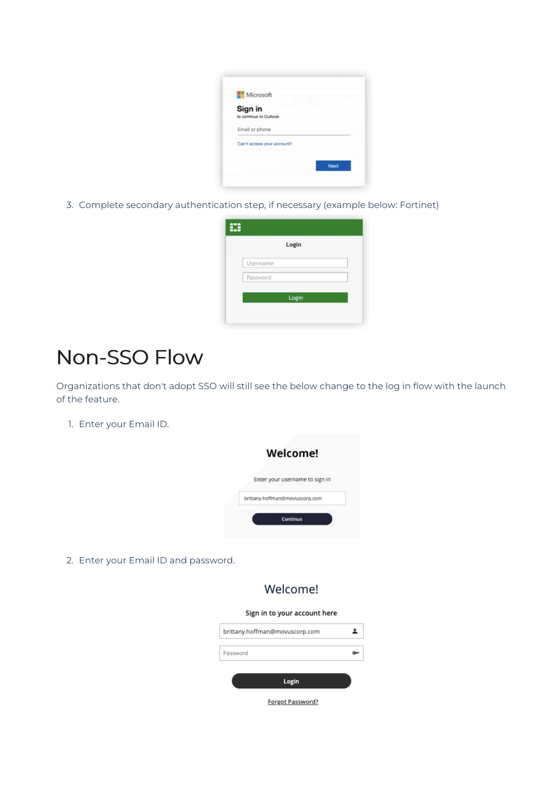| Microsoft                         |      |
|-----------------------------------|------|
| Sign in<br>to continue to Outlook |      |
| Email or phone                    |      |
| Can't access your account?        |      |
|                                   | Next |

3. Complete secondary authentication step, if necessary (example below: Fortinet)

| Login    |  |
|----------|--|
| Username |  |
| Password |  |
| Login    |  |

### Non-SSO Flow

Organizations that don't adopt SSO will still see the below change to the log in flow with the launch of the feature.

1. Enter your Email ID.



2. Enter your Email ID and password.

#### Welcome!

#### Sign in to your account here

Forgot Password?